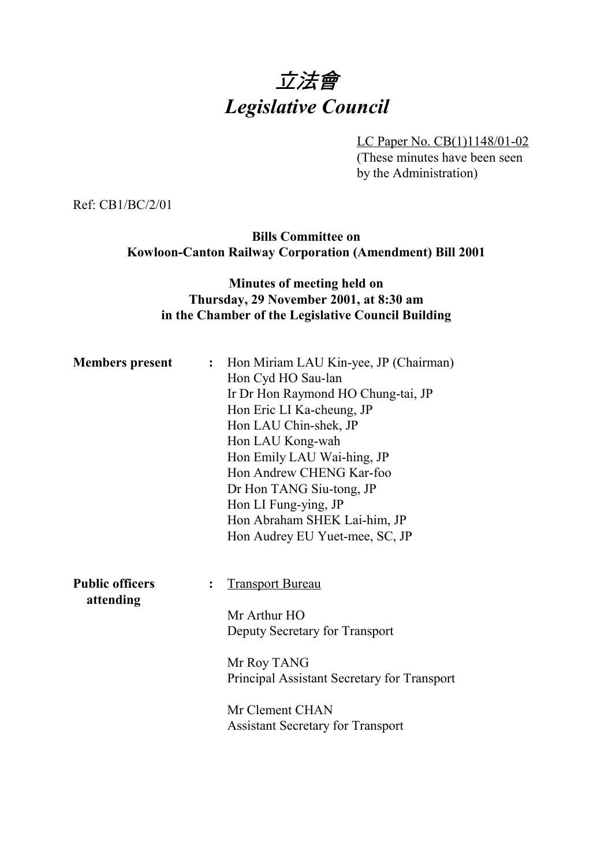# 立法會 *Legislative Council*

LC Paper No. CB(1)1148/01-02

(These minutes have been seen by the Administration)

Ref: CB1/BC/2/01

**Bills Committee on Kowloon-Canton Railway Corporation (Amendment) Bill 2001**

### **Minutes of meeting held on Thursday, 29 November 2001, at 8:30 am in the Chamber of the Legislative Council Building**

| <b>Members</b> present              |                | : Hon Miriam LAU Kin-yee, JP (Chairman)<br>Hon Cyd HO Sau-lan<br>Ir Dr Hon Raymond HO Chung-tai, JP<br>Hon Eric LI Ka-cheung, JP<br>Hon LAU Chin-shek, JP<br>Hon LAU Kong-wah<br>Hon Emily LAU Wai-hing, JP<br>Hon Andrew CHENG Kar-foo<br>Dr Hon TANG Siu-tong, JP<br>Hon LI Fung-ying, JP<br>Hon Abraham SHEK Lai-him, JP<br>Hon Audrey EU Yuet-mee, SC, JP |
|-------------------------------------|----------------|---------------------------------------------------------------------------------------------------------------------------------------------------------------------------------------------------------------------------------------------------------------------------------------------------------------------------------------------------------------|
| <b>Public officers</b><br>attending | $\ddot{\cdot}$ | <b>Transport Bureau</b><br>Mr Arthur HO                                                                                                                                                                                                                                                                                                                       |
|                                     |                | Deputy Secretary for Transport<br>Mr Roy TANG                                                                                                                                                                                                                                                                                                                 |
|                                     |                | Principal Assistant Secretary for Transport<br>Mr Clement CHAN<br><b>Assistant Secretary for Transport</b>                                                                                                                                                                                                                                                    |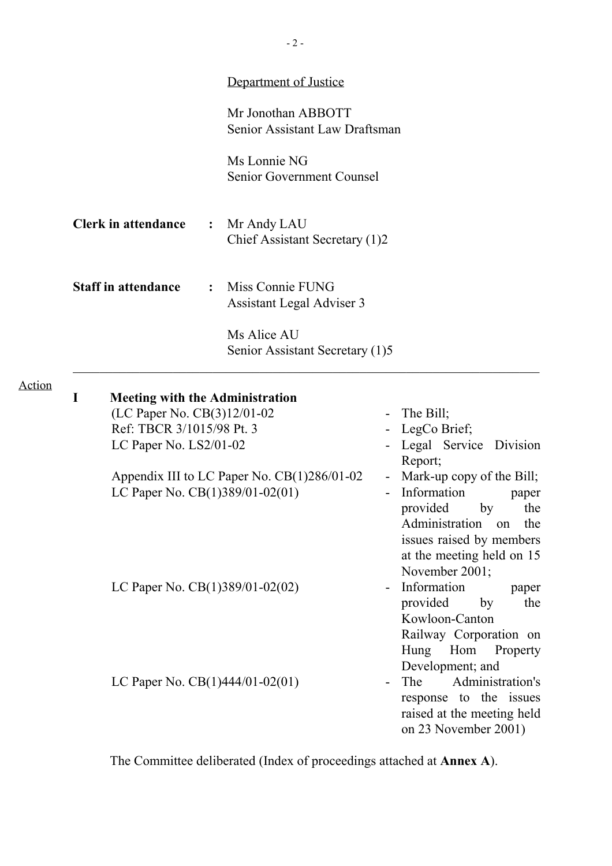|   |                                                                                                                              |                | Department of Justice                                |        |                                                                                                                                                                                              |
|---|------------------------------------------------------------------------------------------------------------------------------|----------------|------------------------------------------------------|--------|----------------------------------------------------------------------------------------------------------------------------------------------------------------------------------------------|
|   |                                                                                                                              |                | Mr Jonothan ABBOTT<br>Senior Assistant Law Draftsman |        |                                                                                                                                                                                              |
|   |                                                                                                                              |                | Ms Lonnie NG<br>Senior Government Counsel            |        |                                                                                                                                                                                              |
|   | <b>Clerk in attendance</b>                                                                                                   | $\ddot{\cdot}$ | Mr Andy LAU<br>Chief Assistant Secretary (1)2        |        |                                                                                                                                                                                              |
|   | <b>Staff in attendance</b>                                                                                                   |                | Miss Connie FUNG<br>Assistant Legal Adviser 3        |        |                                                                                                                                                                                              |
|   |                                                                                                                              |                | Ms Alice AU<br>Senior Assistant Secretary (1)5       |        |                                                                                                                                                                                              |
| I | <b>Meeting with the Administration</b><br>(LC Paper No. CB(3)12/01-02<br>Ref: TBCR 3/1015/98 Pt. 3<br>LC Paper No. LS2/01-02 |                |                                                      |        | - The Bill;<br>- LegCo Brief;<br>Legal Service Division                                                                                                                                      |
|   | LC Paper No. CB(1)389/01-02(01)                                                                                              |                | Appendix III to LC Paper No. CB(1)286/01-02          | $\sim$ | Report;<br>Mark-up copy of the Bill;<br>Information<br>paper<br>provided<br>by<br>the<br>Administration on<br>the<br>issues raised by members<br>at the meeting held on 15<br>November 2001; |
|   | LC Paper No. $CB(1)389/01-02(02)$                                                                                            |                |                                                      |        | Information<br>paper<br>provided<br>by<br>the<br>Kowloon-Canton<br>Railway Corporation on<br><b>Hung</b><br>Hom<br>Property                                                                  |
|   | LC Paper No. $CB(1)444/01-02(01)$                                                                                            |                |                                                      |        | Development; and<br>Administration's<br>The<br>response to the issues<br>raised at the meeting held<br>on 23 November 2001)                                                                  |

The Committee deliberated (Index of proceedings attached at **Annex A**).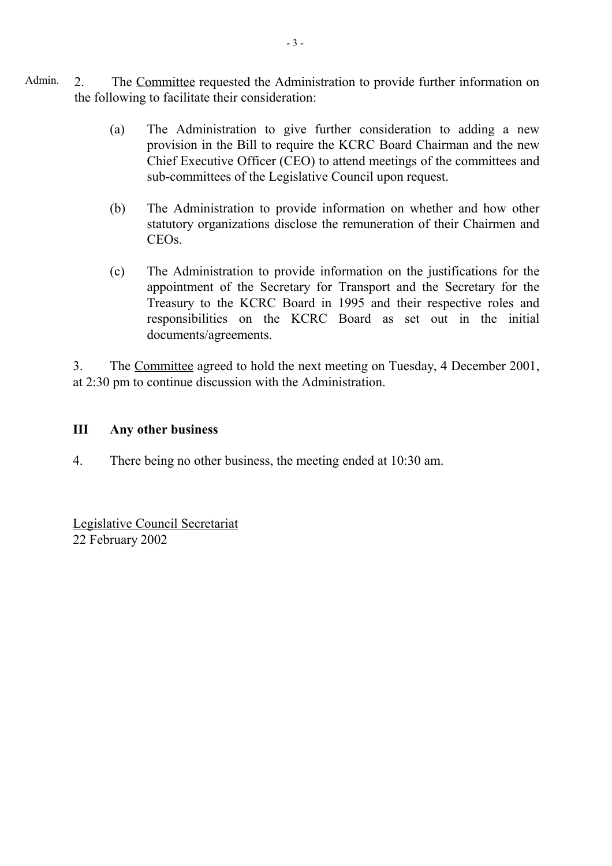- Admin. 2. The Committee requested the Administration to provide further information on the following to facilitate their consideration:
	- (a) The Administration to give further consideration to adding a new provision in the Bill to require the KCRC Board Chairman and the new Chief Executive Officer (CEO) to attend meetings of the committees and sub-committees of the Legislative Council upon request.
	- (b) The Administration to provide information on whether and how other statutory organizations disclose the remuneration of their Chairmen and CEOs.
	- (c) The Administration to provide information on the justifications for the appointment of the Secretary for Transport and the Secretary for the Treasury to the KCRC Board in 1995 and their respective roles and responsibilities on the KCRC Board as set out in the initial documents/agreements.

3. The Committee agreed to hold the next meeting on Tuesday, 4 December 2001, at 2:30 pm to continue discussion with the Administration.

### **III Any other business**

4. There being no other business, the meeting ended at 10:30 am.

Legislative Council Secretariat 22 February 2002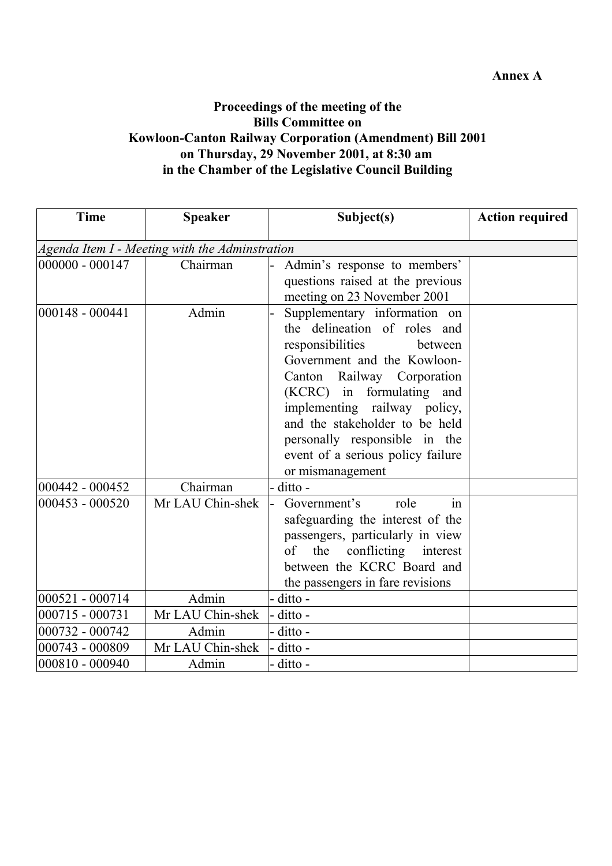### **Annex A**

## **Proceedings of the meeting of the Bills Committee on Kowloon-Canton Railway Corporation (Amendment) Bill 2001 on Thursday, 29 November 2001, at 8:30 am in the Chamber of the Legislative Council Building**

| <b>Time</b>        | <b>Speaker</b>                                 | Subject(s)                                                                                                                                                                                                                                                                                                                                        | <b>Action required</b> |
|--------------------|------------------------------------------------|---------------------------------------------------------------------------------------------------------------------------------------------------------------------------------------------------------------------------------------------------------------------------------------------------------------------------------------------------|------------------------|
|                    | Agenda Item I - Meeting with the Adminstration |                                                                                                                                                                                                                                                                                                                                                   |                        |
| 000000 - 000147    | Chairman                                       | Admin's response to members'<br>questions raised at the previous<br>meeting on 23 November 2001                                                                                                                                                                                                                                                   |                        |
| $ 000148 - 000441$ | Admin                                          | Supplementary information on<br>the delineation of roles and<br>responsibilities<br>between<br>Government and the Kowloon-<br>Canton Railway Corporation<br>(KCRC) in formulating and<br>implementing railway policy,<br>and the stakeholder to be held<br>personally responsible in the<br>event of a serious policy failure<br>or mismanagement |                        |
| 000442 - 000452    | Chairman                                       | ditto -                                                                                                                                                                                                                                                                                                                                           |                        |
| 000453 - 000520    | Mr LAU Chin-shek                               | Government's<br>role<br>in<br>safeguarding the interest of the<br>passengers, particularly in view<br>the<br>conflicting interest<br>of<br>between the KCRC Board and<br>the passengers in fare revisions                                                                                                                                         |                        |
| 000521 - 000714    | Admin                                          | ditto -                                                                                                                                                                                                                                                                                                                                           |                        |
| 000715 - 000731    | Mr LAU Chin-shek                               | ditto -                                                                                                                                                                                                                                                                                                                                           |                        |
| 000732 - 000742    | Admin                                          | ditto -                                                                                                                                                                                                                                                                                                                                           |                        |
| 000743 - 000809    | Mr LAU Chin-shek                               | ditto -                                                                                                                                                                                                                                                                                                                                           |                        |
| 000810 - 000940    | Admin                                          | ditto -                                                                                                                                                                                                                                                                                                                                           |                        |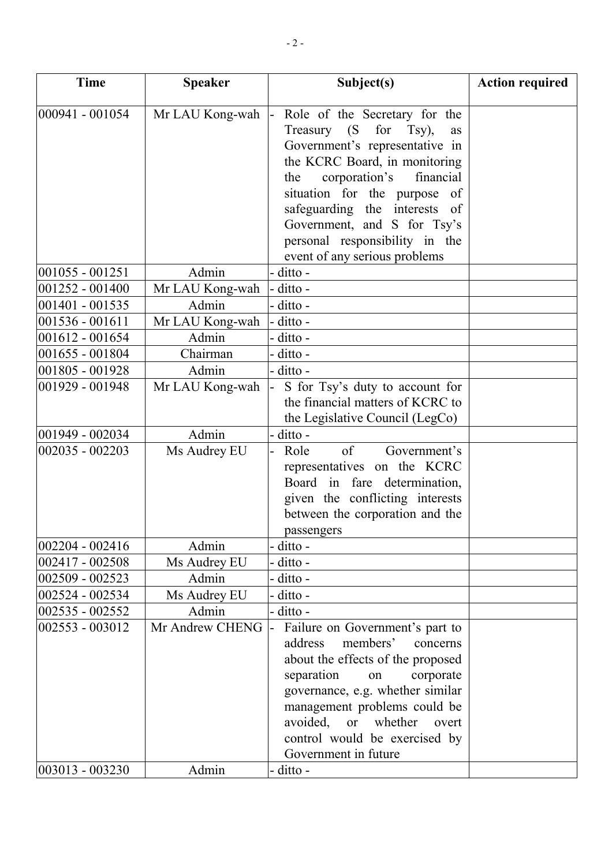| <b>Time</b>       | <b>Speaker</b>  | Subject(s)                                                                | <b>Action required</b> |
|-------------------|-----------------|---------------------------------------------------------------------------|------------------------|
| 000941 - 001054   |                 |                                                                           |                        |
|                   | Mr LAU Kong-wah | Role of the Secretary for the<br>Treasury (S<br>for Tsy),<br>as           |                        |
|                   |                 | Government's representative in                                            |                        |
|                   |                 | the KCRC Board, in monitoring                                             |                        |
|                   |                 | corporation's<br>financial<br>the                                         |                        |
|                   |                 | situation for the purpose<br>of                                           |                        |
|                   |                 | safeguarding the interests<br>- of                                        |                        |
|                   |                 | Government, and S for Tsy's                                               |                        |
|                   |                 | personal responsibility in the                                            |                        |
|                   |                 | event of any serious problems                                             |                        |
| $001055 - 001251$ | Admin           | - ditto -                                                                 |                        |
| 001252 - 001400   | Mr LAU Kong-wah | ditto -                                                                   |                        |
| 001401 - 001535   | Admin           | - ditto -                                                                 |                        |
| 001536 - 001611   | Mr LAU Kong-wah | - ditto -                                                                 |                        |
| 001612 - 001654   | Admin           | - ditto -                                                                 |                        |
| 001655 - 001804   | Chairman        | - ditto -                                                                 |                        |
| 001805 - 001928   | Admin           | - ditto -                                                                 |                        |
| 001929 - 001948   | Mr LAU Kong-wah | S for Tsy's duty to account for                                           |                        |
|                   |                 | the financial matters of KCRC to                                          |                        |
|                   |                 | the Legislative Council (LegCo)                                           |                        |
| 001949 - 002034   | Admin           | - ditto -                                                                 |                        |
| 002035 - 002203   | Ms Audrey EU    | of<br>Government's<br>Role                                                |                        |
|                   |                 | representatives on the KCRC                                               |                        |
|                   |                 | Board in fare determination,                                              |                        |
|                   |                 | given the conflicting interests                                           |                        |
|                   |                 | between the corporation and the                                           |                        |
|                   |                 | passengers                                                                |                        |
| 002204 - 002416   | Admin           | - ditto -                                                                 |                        |
| 002417 - 002508   | Ms Audrey EU    | - ditto -                                                                 |                        |
| 002509 - 002523   | Admin           | ditto -                                                                   |                        |
| 002524 - 002534   | Ms Audrey EU    | - ditto -                                                                 |                        |
| 002535 - 002552   | Admin           | - ditto -                                                                 |                        |
| 002553 - 003012   | Mr Andrew CHENG | Failure on Government's part to                                           |                        |
|                   |                 | members'<br>address<br>concerns                                           |                        |
|                   |                 | about the effects of the proposed                                         |                        |
|                   |                 | separation<br>corporate<br>on                                             |                        |
|                   |                 | governance, e.g. whether similar                                          |                        |
|                   |                 | management problems could be<br>avoided,<br><b>or</b><br>whether<br>overt |                        |
|                   |                 | control would be exercised by                                             |                        |
|                   |                 | Government in future                                                      |                        |
| 003013 - 003230   | Admin           | ditto -                                                                   |                        |
|                   |                 |                                                                           |                        |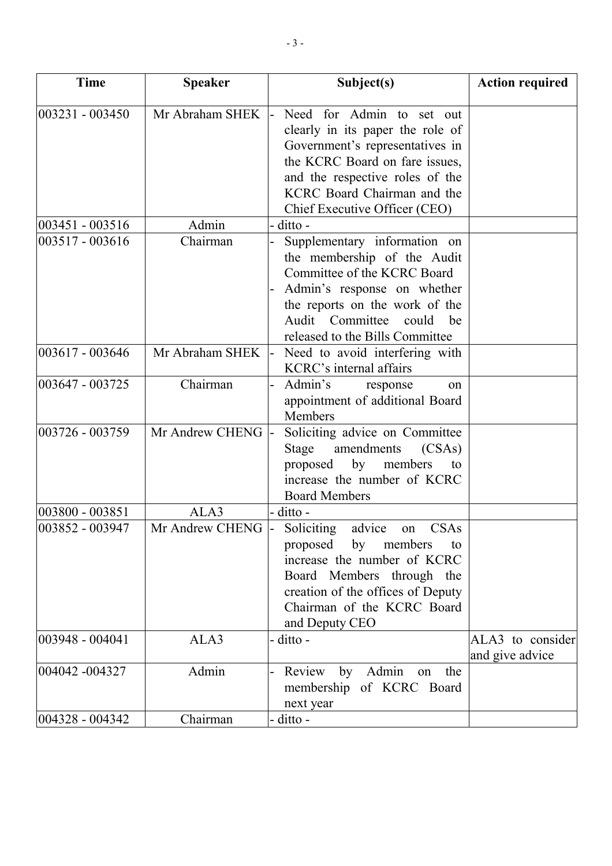| <b>Time</b>     | <b>Speaker</b>  | Subject(s)                                                                                                                                                                                                                            | <b>Action required</b>              |
|-----------------|-----------------|---------------------------------------------------------------------------------------------------------------------------------------------------------------------------------------------------------------------------------------|-------------------------------------|
| 003231 - 003450 | Mr Abraham SHEK | Need for Admin to set out<br>clearly in its paper the role of<br>Government's representatives in<br>the KCRC Board on fare issues,<br>and the respective roles of the<br>KCRC Board Chairman and the<br>Chief Executive Officer (CEO) |                                     |
| 003451 - 003516 | Admin           | ditto -                                                                                                                                                                                                                               |                                     |
| 003517 - 003616 | Chairman        | Supplementary information on<br>the membership of the Audit<br>Committee of the KCRC Board<br>Admin's response on whether<br>the reports on the work of the<br>Audit<br>Committee<br>could<br>be<br>released to the Bills Committee   |                                     |
| 003617 - 003646 | Mr Abraham SHEK | Need to avoid interfering with<br>KCRC's internal affairs                                                                                                                                                                             |                                     |
| 003647 - 003725 | Chairman        | Admin's<br>response<br><sub>on</sub><br>appointment of additional Board<br>Members                                                                                                                                                    |                                     |
| 003726 - 003759 | Mr Andrew CHENG | Soliciting advice on Committee<br>Stage<br>amendments<br>(CSAs)<br>proposed<br>by<br>members<br>to<br>increase the number of KCRC<br><b>Board Members</b>                                                                             |                                     |
| 003800 - 003851 | ALA3            | ditto -                                                                                                                                                                                                                               |                                     |
| 003852 - 003947 | Mr Andrew CHENG | Soliciting<br>CSAs<br>advice<br>on<br>proposed by members<br>to<br>increase the number of KCRC<br>Board Members through the<br>creation of the offices of Deputy<br>Chairman of the KCRC Board<br>and Deputy CEO                      |                                     |
| 003948 - 004041 | ALA3            | ditto -                                                                                                                                                                                                                               | ALA3 to consider<br>and give advice |
| 004042 -004327  | Admin           | Review<br>Admin<br>by<br>the<br>on<br>membership of KCRC Board<br>next year                                                                                                                                                           |                                     |
| 004328 - 004342 | Chairman        | ditto -                                                                                                                                                                                                                               |                                     |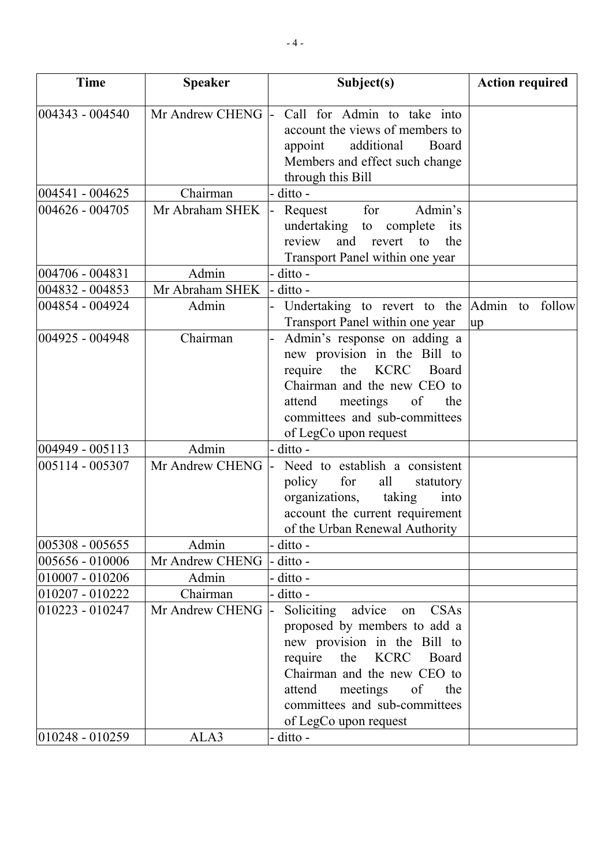| <b>Time</b>        | <b>Speaker</b>  | Subject(s)                                                                                                                                                                                                                                                               | <b>Action required</b> |
|--------------------|-----------------|--------------------------------------------------------------------------------------------------------------------------------------------------------------------------------------------------------------------------------------------------------------------------|------------------------|
| 004343 - 004540    | Mr Andrew CHENG | Call for Admin to take into<br>account the views of members to<br>additional<br>appoint<br>Board<br>Members and effect such change                                                                                                                                       |                        |
| 004541 - 004625    | Chairman        | through this Bill<br>ditto -                                                                                                                                                                                                                                             |                        |
| 004626 - 004705    | Mr Abraham SHEK | Admin's<br>for<br>Request<br>undertaking to complete<br>its<br>review<br>and revert<br>to<br>the<br>Transport Panel within one year                                                                                                                                      |                        |
| 004706 - 004831    | Admin           | ditto -                                                                                                                                                                                                                                                                  |                        |
| 004832 - 004853    | Mr Abraham SHEK | ditto -                                                                                                                                                                                                                                                                  |                        |
| 004854 - 004924    | Admin           | Undertaking to revert to the<br>Transport Panel within one year                                                                                                                                                                                                          | Admin to follow<br>up  |
| 004925 - 004948    | Chairman        | Admin's response on adding a<br>new provision in the Bill to<br><b>KCRC</b><br>require<br>the<br>Board<br>Chairman and the new CEO to<br>attend<br>meetings<br>of<br>the<br>committees and sub-committees<br>of LegCo upon request                                       |                        |
| 004949 - 005113    | Admin           | ditto -                                                                                                                                                                                                                                                                  |                        |
| 005114 - 005307    | Mr Andrew CHENG | Need to establish a consistent<br>policy<br>for<br>all<br>statutory<br>organizations, taking<br>into<br>account the current requirement<br>of the Urban Renewal Authority                                                                                                |                        |
| 005308 - 005655    | Admin           | ditto -                                                                                                                                                                                                                                                                  |                        |
| 005656 - 010006    | Mr Andrew CHENG | ditto -                                                                                                                                                                                                                                                                  |                        |
| 010007 - 010206    | Admin           | ditto -                                                                                                                                                                                                                                                                  |                        |
| 010207 - 010222    | Chairman        | ditto -                                                                                                                                                                                                                                                                  |                        |
| 010223 - 010247    | Mr Andrew CHENG | <b>Soliciting</b><br>advice<br>CSAs<br>on<br>proposed by members to add a<br>new provision in the Bill to<br>require<br>the<br>KCRC<br>Board<br>Chairman and the new CEO to<br>attend<br>meetings<br>of<br>the<br>committees and sub-committees<br>of LegCo upon request |                        |
| $ 010248 - 010259$ | ALA3            | ditto -                                                                                                                                                                                                                                                                  |                        |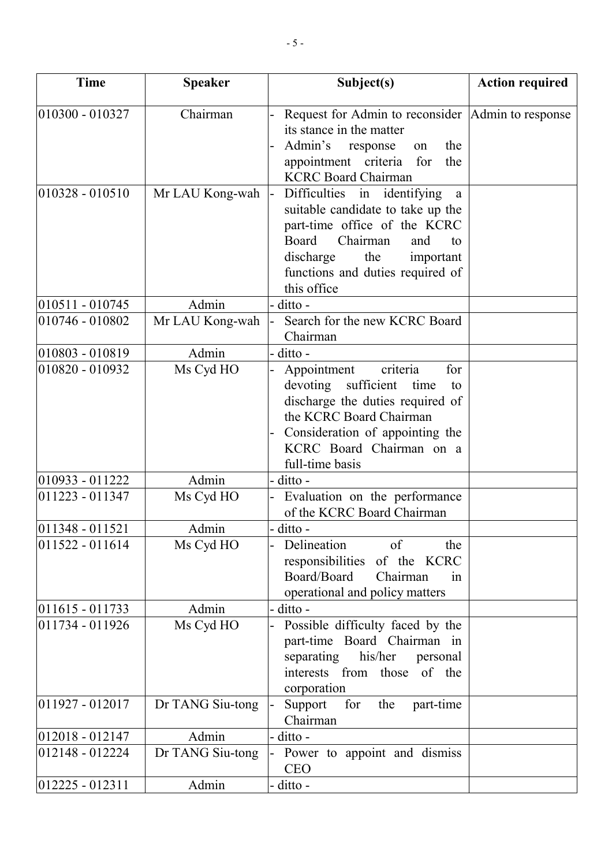| <b>Time</b>         | <b>Speaker</b>   | Subject(s)                                                                                                                                                                                                                  | <b>Action required</b> |
|---------------------|------------------|-----------------------------------------------------------------------------------------------------------------------------------------------------------------------------------------------------------------------------|------------------------|
| $010300 - 010327$   | Chairman         | Request for Admin to reconsider Admin to response<br>its stance in the matter<br>Admin's<br>response<br>the<br>on<br>appointment criteria for<br>the<br><b>KCRC Board Chairman</b>                                          |                        |
| $ 010328 - 010510$  | Mr LAU Kong-wah  | Difficulties in identifying<br>a<br>suitable candidate to take up the<br>part-time office of the KCRC<br>Board<br>Chairman<br>and<br>to<br>the<br>discharge<br>important<br>functions and duties required of<br>this office |                        |
| 010511 - 010745     | Admin            | - ditto -                                                                                                                                                                                                                   |                        |
| 010746 - 010802     | Mr LAU Kong-wah  | Search for the new KCRC Board<br>Chairman                                                                                                                                                                                   |                        |
| 010803 - 010819     | Admin            | ditto -                                                                                                                                                                                                                     |                        |
| 010820 - 010932     | Ms Cyd HO        | criteria<br>for<br>Appointment<br>devoting sufficient time<br>to<br>discharge the duties required of<br>the KCRC Board Chairman<br>Consideration of appointing the<br>KCRC Board Chairman on a<br>full-time basis           |                        |
| 010933 - 011222     | Admin            | ditto -                                                                                                                                                                                                                     |                        |
| 011223 - 011347     | Ms Cyd HO        | Evaluation on the performance<br>of the KCRC Board Chairman                                                                                                                                                                 |                        |
| $ 011348 - 011521$  | Admin            | - ditto -                                                                                                                                                                                                                   |                        |
| $ 011522 - 011614 $ | Ms Cyd HO        | Delineation<br>of<br>the<br>responsibilities<br>of the KCRC<br>Board/Board<br>Chairman<br>in<br>operational and policy matters                                                                                              |                        |
| $011615 - 011733$   | Admin            | ditto -                                                                                                                                                                                                                     |                        |
| 011734 - 011926     | Ms Cyd HO        | Possible difficulty faced by the<br>part-time Board Chairman in<br>separating<br>his/her<br>personal<br>interests from those<br>of the<br>corporation                                                                       |                        |
| 011927 - 012017     | Dr TANG Siu-tong | Support<br>for<br>the<br>part-time<br>Chairman                                                                                                                                                                              |                        |
| $012018 - 012147$   | Admin            | ditto -                                                                                                                                                                                                                     |                        |
| 012148 - 012224     | Dr TANG Siu-tong | Power to appoint and dismiss<br><b>CEO</b>                                                                                                                                                                                  |                        |
| $ 012225 - 012311$  | Admin            | ditto -                                                                                                                                                                                                                     |                        |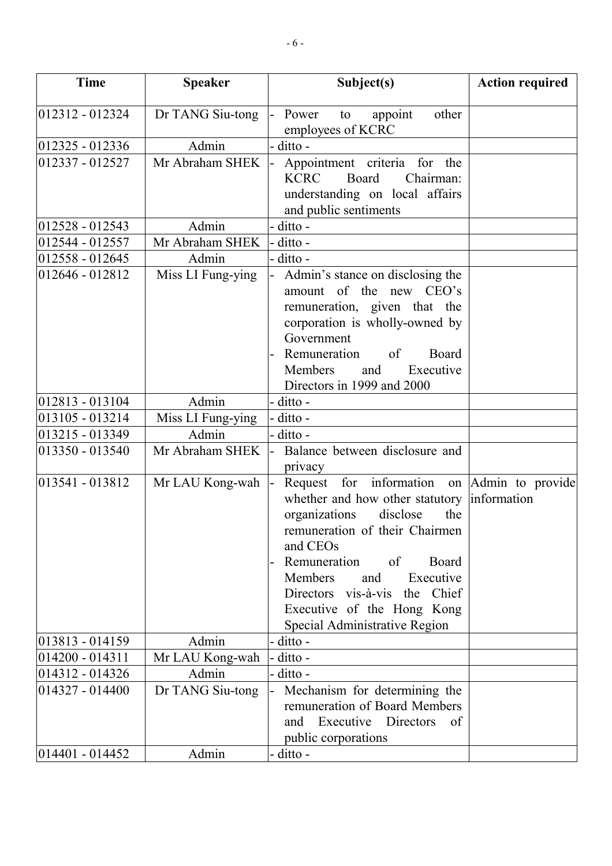| <b>Time</b>        | <b>Speaker</b>    | Subject(s)                                                                                                                                                                                                                                                                                                                        | <b>Action required</b> |
|--------------------|-------------------|-----------------------------------------------------------------------------------------------------------------------------------------------------------------------------------------------------------------------------------------------------------------------------------------------------------------------------------|------------------------|
| 012312 - 012324    |                   |                                                                                                                                                                                                                                                                                                                                   |                        |
|                    | Dr TANG Siu-tong  | Power<br>appoint<br>other<br>to<br>employees of KCRC                                                                                                                                                                                                                                                                              |                        |
| 012325 - 012336    | Admin             | ditto -                                                                                                                                                                                                                                                                                                                           |                        |
| 012337 - 012527    | Mr Abraham SHEK   | Appointment criteria for<br>the<br><b>KCRC</b><br>Board<br>Chairman:<br>understanding on local affairs<br>and public sentiments                                                                                                                                                                                                   |                        |
| 012528 - 012543    | Admin             | ditto -                                                                                                                                                                                                                                                                                                                           |                        |
| 012544 - 012557    | Mr Abraham SHEK   | ditto -                                                                                                                                                                                                                                                                                                                           |                        |
| 012558 - 012645    | Admin             | ditto -                                                                                                                                                                                                                                                                                                                           |                        |
| 012646 - 012812    | Miss LI Fung-ying | Admin's stance on disclosing the<br>amount of the new CEO's<br>remuneration, given that the<br>corporation is wholly-owned by<br>Government<br>Remuneration<br>of<br>Board<br>Members<br>and<br>Executive<br>Directors in 1999 and 2000                                                                                           |                        |
| 012813 - 013104    | Admin             | ditto -                                                                                                                                                                                                                                                                                                                           |                        |
| 013105 - 013214    | Miss LI Fung-ying | ditto -                                                                                                                                                                                                                                                                                                                           |                        |
| 013215 - 013349    | Admin             | - ditto -                                                                                                                                                                                                                                                                                                                         |                        |
| 013350 - 013540    | Mr Abraham SHEK   | Balance between disclosure and<br>privacy                                                                                                                                                                                                                                                                                         |                        |
| $ 013541 - 013812$ | Mr LAU Kong-wah   | Request for information on Admin to provide<br>whether and how other statutory<br>disclose<br>the<br>organizations<br>remuneration of their Chairmen<br>and CEOs<br>Remuneration<br>of<br>Board<br>Members<br>Executive<br>and<br>Directors vis-à-vis<br>the Chief<br>Executive of the Hong Kong<br>Special Administrative Region | information            |
| 013813 - 014159    | Admin             | ditto -                                                                                                                                                                                                                                                                                                                           |                        |
| 014200 - 014311    | Mr LAU Kong-wah   | ditto -                                                                                                                                                                                                                                                                                                                           |                        |
| 014312 - 014326    | Admin             | ditto -                                                                                                                                                                                                                                                                                                                           |                        |
| 014327 - 014400    | Dr TANG Siu-tong  | Mechanism for determining the<br>remuneration of Board Members<br>Executive<br>Directors<br>and<br>of<br>public corporations                                                                                                                                                                                                      |                        |
| $ 014401 - 014452$ | Admin             | ditto -                                                                                                                                                                                                                                                                                                                           |                        |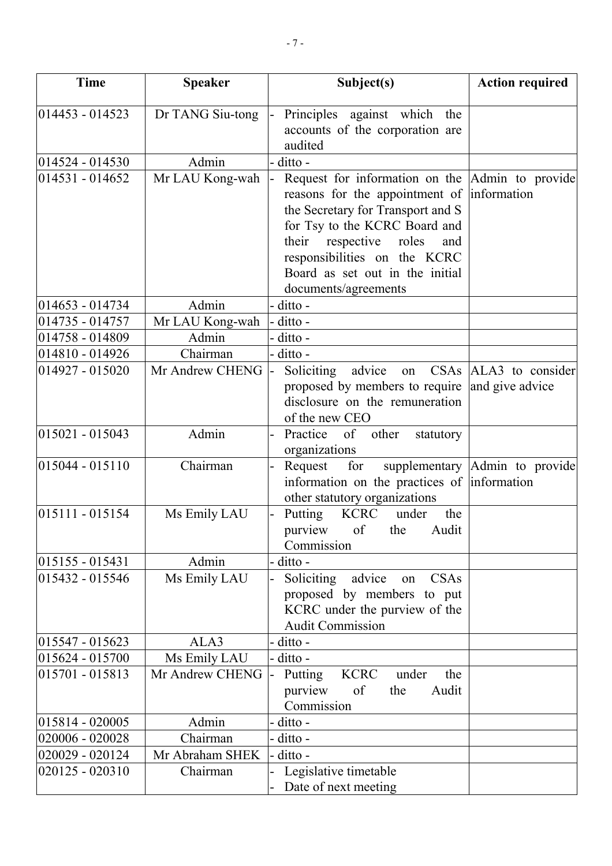| <b>Time</b>                        | <b>Speaker</b>           | Subject(s)                                                                                                                                                                | <b>Action required</b>                   |
|------------------------------------|--------------------------|---------------------------------------------------------------------------------------------------------------------------------------------------------------------------|------------------------------------------|
| $ 014453 - 014523$                 | Dr TANG Siu-tong         | Principles against which the<br>accounts of the corporation are                                                                                                           |                                          |
|                                    |                          | audited                                                                                                                                                                   |                                          |
| 014524 - 014530<br>014531 - 014652 | Admin<br>Mr LAU Kong-wah | ditto -<br>Request for information on the Admin to provide<br>reasons for the appointment of information                                                                  |                                          |
|                                    |                          | the Secretary for Transport and S<br>for Tsy to the KCRC Board and<br>their<br>respective roles<br>and<br>responsibilities on the KCRC<br>Board as set out in the initial |                                          |
|                                    |                          | documents/agreements                                                                                                                                                      |                                          |
| 014653 - 014734                    | Admin                    | - ditto -                                                                                                                                                                 |                                          |
| 014735 - 014757                    | Mr LAU Kong-wah          | ditto -                                                                                                                                                                   |                                          |
| 014758 - 014809                    | Admin                    | ditto -                                                                                                                                                                   |                                          |
| 014810 - 014926                    | Chairman                 | - ditto -                                                                                                                                                                 |                                          |
| 014927 - 015020                    | Mr Andrew CHENG          | Soliciting<br>advice<br>on<br>proposed by members to require<br>disclosure on the remuneration                                                                            | CSAs ALA3 to consider<br>and give advice |
|                                    |                          | of the new CEO                                                                                                                                                            |                                          |
| $015021 - 015043$                  | Admin                    | Practice<br>of other<br>statutory<br>organizations                                                                                                                        |                                          |
| $015044 - 015110$                  | Chairman                 | Request<br>for<br>information on the practices of information<br>other statutory organizations                                                                            | supplementary Admin to provide           |
| $015111 - 015154$                  | Ms Emily LAU             | <b>KCRC</b><br>Putting<br>under<br>the<br>purview<br>of<br>Audit<br>the<br>Commission                                                                                     |                                          |
| $015155 - 015431$                  | Admin                    | ditto -                                                                                                                                                                   |                                          |
| 015432 - 015546                    | Ms Emily LAU             | Soliciting<br>CSAs<br>advice<br>on                                                                                                                                        |                                          |
|                                    |                          | proposed by members to put<br>KCRC under the purview of the<br><b>Audit Commission</b>                                                                                    |                                          |
| 015547 - 015623                    | ALA3                     | ditto -                                                                                                                                                                   |                                          |
| 015624 - 015700                    | Ms Emily LAU             | ditto -                                                                                                                                                                   |                                          |
| 015701 - 015813                    | Mr Andrew CHENG          | <b>KCRC</b><br>Putting<br>under<br>the<br>of<br>purview<br>Audit<br>the<br>Commission                                                                                     |                                          |
| 015814 - 020005                    | Admin                    | ditto -                                                                                                                                                                   |                                          |
| 020006 - 020028                    | Chairman                 | ditto -                                                                                                                                                                   |                                          |
| 020029 - 020124                    | Mr Abraham SHEK          | ditto -                                                                                                                                                                   |                                          |
| 020125 - 020310                    | Chairman                 | Legislative timetable                                                                                                                                                     |                                          |
|                                    |                          | Date of next meeting                                                                                                                                                      |                                          |